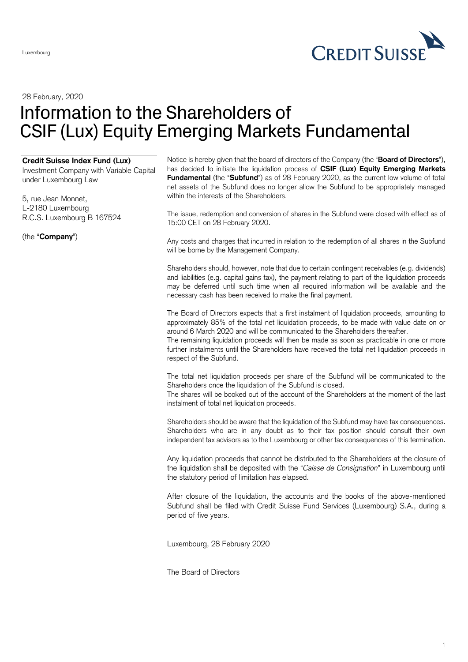

28 February, 2020

## Information to the Shareholders of CSIF (Lux) Equity Emerging Markets Fundamental

## **Credit Suisse Index Fund (Lux)**

Investment Company with Variable Capital under Luxembourg Law

5, rue Jean Monnet, L-2180 Luxembourg R.C.S. Luxembourg B 167524

(the "**Company**")

Notice is hereby given that the board of directors of the Company (the "**Board of Directors**"), has decided to initiate the liquidation process of **CSIF (Lux) Equity Emerging Markets Fundamental** (the "**Subfund**") as of 28 February 2020, as the current low volume of total net assets of the Subfund does no longer allow the Subfund to be appropriately managed within the interests of the Shareholders.

The issue, redemption and conversion of shares in the Subfund were closed with effect as of 15:00 CET on 28 February 2020.

Any costs and charges that incurred in relation to the redemption of all shares in the Subfund will be borne by the Management Company.

Shareholders should, however, note that due to certain contingent receivables (e.g. dividends) and liabilities (e.g. capital gains tax), the payment relating to part of the liquidation proceeds may be deferred until such time when all required information will be available and the necessary cash has been received to make the final payment.

The Board of Directors expects that a first instalment of liquidation proceeds, amounting to approximately 85% of the total net liquidation proceeds, to be made with value date on or around 6 March 2020 and will be communicated to the Shareholders thereafter.

The remaining liquidation proceeds will then be made as soon as practicable in one or more further instalments until the Shareholders have received the total net liquidation proceeds in respect of the Subfund.

The total net liquidation proceeds per share of the Subfund will be communicated to the Shareholders once the liquidation of the Subfund is closed.

The shares will be booked out of the account of the Shareholders at the moment of the last instalment of total net liquidation proceeds.

Shareholders should be aware that the liquidation of the Subfund may have tax consequences. Shareholders who are in any doubt as to their tax position should consult their own independent tax advisors as to the Luxembourg or other tax consequences of this termination.

Any liquidation proceeds that cannot be distributed to the Shareholders at the closure of the liquidation shall be deposited with the "*Caisse de Consignation*" in Luxembourg until the statutory period of limitation has elapsed.

After closure of the liquidation, the accounts and the books of the above-mentioned Subfund shall be filed with Credit Suisse Fund Services (Luxembourg) S.A., during a period of five years.

Luxembourg, 28 February 2020

The Board of Directors